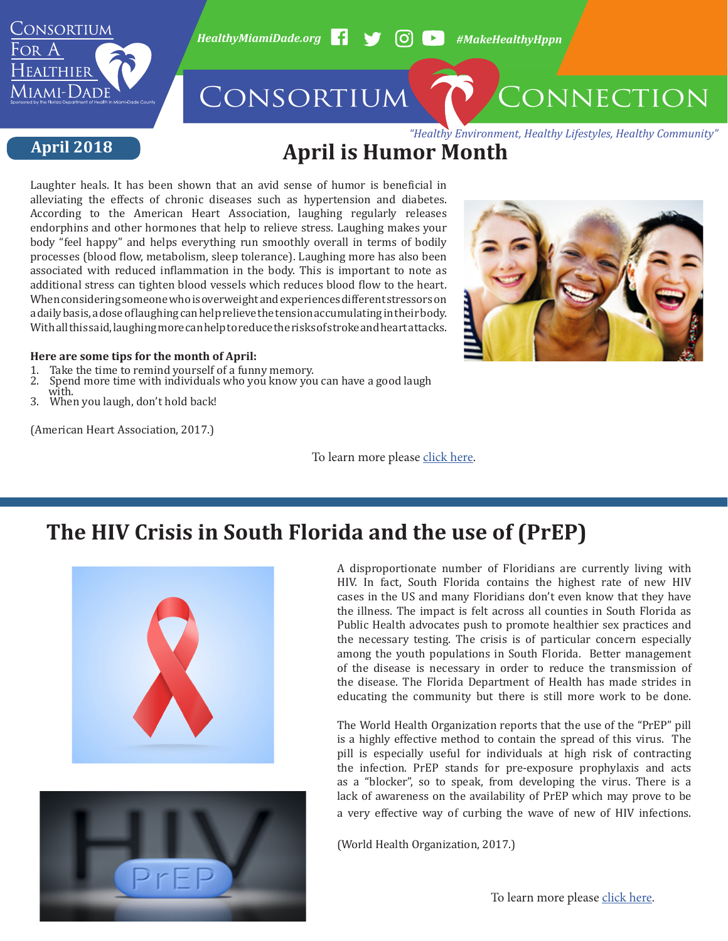

*HealthyMiamiDade.org #MakeHealthyHppn*

## CONSORTIUM CONNECTION

#### **April 2018**

*"Healthy Environment, Healthy Lifestyles, Healthy Community"*

### **April is Humor Month**

Laughter heals. It has been shown that an avid sense of humor is beneficial in alleviating the effects of chronic diseases such as hypertension and diabetes. According to the American Heart Association, laughing regularly releases endorphins and other hormones that help to relieve stress. Laughing makes your body "feel happy" and helps everything run smoothly overall in terms of bodily processes (blood flow, metabolism, sleep tolerance). Laughing more has also been associated with reduced inflammation in the body. This is important to note as additional stress can tighten blood vessels which reduces blood flow to the heart. When considering someone who is overweight and experiences different stressors on a daily basis, a dose of laughing can help relieve the tension accumulating in their body. With all this said, laughing more can help to reduce the risks of stroke and heart attacks.

#### **Here are some tips for the month of April:**

- 1. Take the time to remind yourself of a funny memory.<br>2. Spend more time with individuals who you know you
- Spend more time with individuals who you know you can have a good laugh with.
- with.<br>2. What 3. When you laugh, don't hold back!

(American Heart Association, 2017.)

To learn more please [click here.](http://www.heart.org/HEARTORG/HealthyLiving/Humor-helps-your-heart-How_UCM_447039_Article.jsp#.Wql7vuSGOUk)





A disproportionate number of Floridians are currently living with HIV. In fact, South Florida contains the highest rate of new HIV cases in the US and many Floridians don't even know that they have the illness. The impact is felt across all counties in South Florida as Public Health advocates push to promote healthier sex practices and the necessary testing. The crisis is of particular concern especially among the youth populations in South Florida. Better management of the disease is necessary in order to reduce the transmission of the disease. The Florida Department of Health has made strides in educating the community but there is still more work to be done.

The World Health Organization reports that the use of the "PrEP" pill is a highly effective method to contain the spread of this virus. The pill is especially useful for individuals at high risk of contracting the infection. PrEP stands for pre-exposure prophylaxis and acts as a "blocker", so to speak, from developing the virus. There is a lack of awareness on the availability of PrEP which may prove to be a very effective way of curbing the wave of new of HIV infections.

(World Health Organization, 2017.)